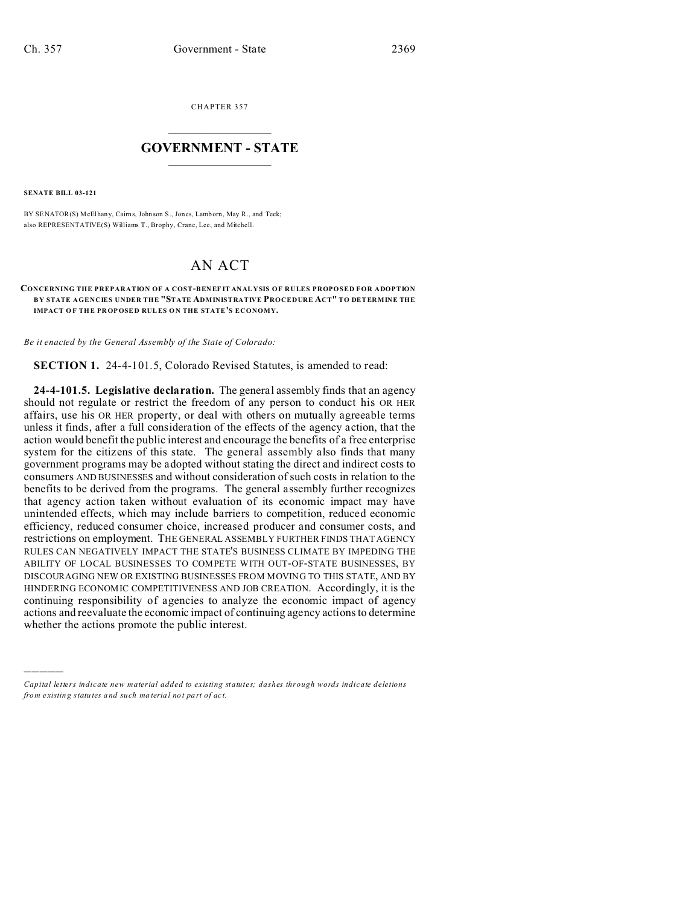CHAPTER 357  $\overline{\phantom{a}}$  , where  $\overline{\phantom{a}}$ 

## **GOVERNMENT - STATE**  $\_$   $\_$

**SENATE BILL 03-121**

)))))

BY SENATOR(S) McElhany, Cairns, John son S., Jones, Lamborn, May R., and Teck; also REPRESENTATIVE(S) Williams T., Brophy, Crane, Lee, and Mitchell.

## AN ACT

## **CONCERNING THE PREPARATION OF A COST-BEN EF IT ANAL YSIS OF RULES PROPOSED FOR ADOPTION B Y STATE AGENCIES UNDER THE "STATE ADMINISTRATIVE PROCEDURE ACT" TO DETERMINE THE IMPACT OF THE PROPOSED RULES ON THE STATE'S ECONOMY.**

*Be it enacted by the General Assembly of the State of Colorado:*

**SECTION 1.** 24-4-101.5, Colorado Revised Statutes, is amended to read:

**24-4-101.5. Legislative declaration.** The general assembly finds that an agency should not regulate or restrict the freedom of any person to conduct his OR HER affairs, use his OR HER property, or deal with others on mutually agreeable terms unless it finds, after a full consideration of the effects of the agency action, that the action would benefit the public interest and encourage the benefits of a free enterprise system for the citizens of this state. The general assembly also finds that many government programs may be adopted without stating the direct and indirect costs to consumers AND BUSINESSES and without consideration of such costs in relation to the benefits to be derived from the programs. The general assembly further recognizes that agency action taken without evaluation of its economic impact may have unintended effects, which may include barriers to competition, reduced economic efficiency, reduced consumer choice, increased producer and consumer costs, and restrictions on employment. THE GENERAL ASSEMBLY FURTHER FINDS THAT AGENCY RULES CAN NEGATIVELY IMPACT THE STATE'S BUSINESS CLIMATE BY IMPEDING THE ABILITY OF LOCAL BUSINESSES TO COMPETE WITH OUT-OF-STATE BUSINESSES, BY DISCOURAGING NEW OR EXISTING BUSINESSES FROM MOVING TO THIS STATE, AND BY HINDERING ECONOMIC COMPETITIVENESS AND JOB CREATION. Accordingly, it is the continuing responsibility of agencies to analyze the economic impact of agency actions and reevaluate the economic impact of continuing agency actions to determine whether the actions promote the public interest.

*Capital letters indicate new material added to existing statutes; dashes through words indicate deletions from e xistin g statu tes a nd such ma teria l no t pa rt of ac t.*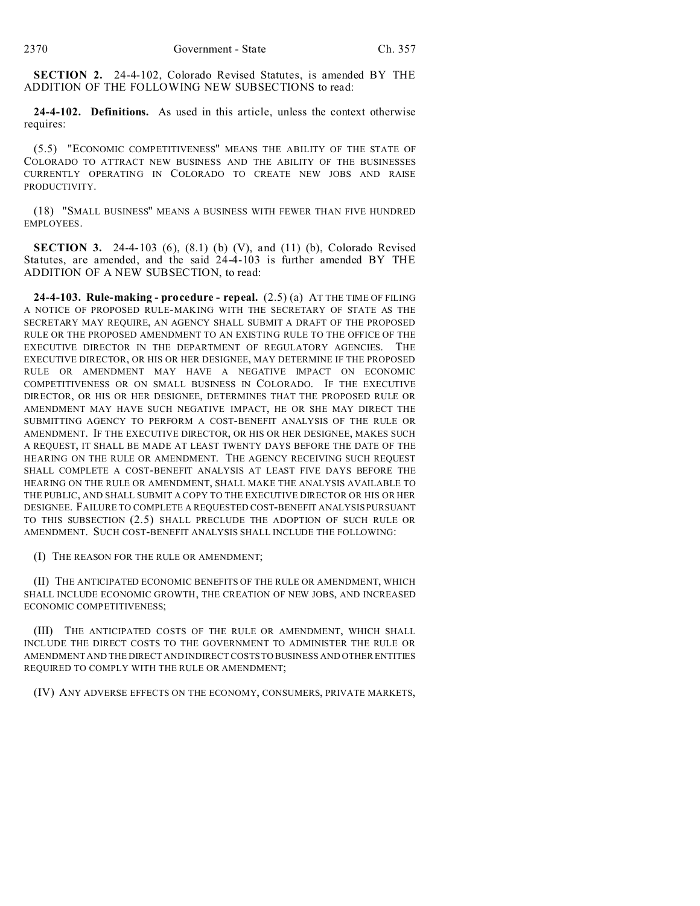**SECTION 2.** 24-4-102, Colorado Revised Statutes, is amended BY THE ADDITION OF THE FOLLOWING NEW SUBSECTIONS to read:

**24-4-102. Definitions.** As used in this article, unless the context otherwise requires:

(5.5) "ECONOMIC COMPETITIVENESS" MEANS THE ABILITY OF THE STATE OF COLORADO TO ATTRACT NEW BUSINESS AND THE ABILITY OF THE BUSINESSES CURRENTLY OPERATING IN COLORADO TO CREATE NEW JOBS AND RAISE PRODUCTIVITY.

(18) "SMALL BUSINESS" MEANS A BUSINESS WITH FEWER THAN FIVE HUNDRED EMPLOYEES.

**SECTION 3.** 24-4-103 (6), (8.1) (b) (V), and (11) (b), Colorado Revised Statutes, are amended, and the said 24-4-103 is further amended BY THE ADDITION OF A NEW SUBSECTION, to read:

**24-4-103. Rule-making - procedure - repeal.** (2.5) (a) AT THE TIME OF FILING A NOTICE OF PROPOSED RULE-MAKING WITH THE SECRETARY OF STATE AS THE SECRETARY MAY REQUIRE, AN AGENCY SHALL SUBMIT A DRAFT OF THE PROPOSED RULE OR THE PROPOSED AMENDMENT TO AN EXISTING RULE TO THE OFFICE OF THE EXECUTIVE DIRECTOR IN THE DEPARTMENT OF REGULATORY AGENCIES. THE EXECUTIVE DIRECTOR, OR HIS OR HER DESIGNEE, MAY DETERMINE IF THE PROPOSED RULE OR AMENDMENT MAY HAVE A NEGATIVE IMPACT ON ECONOMIC COMPETITIVENESS OR ON SMALL BUSINESS IN COLORADO. IF THE EXECUTIVE DIRECTOR, OR HIS OR HER DESIGNEE, DETERMINES THAT THE PROPOSED RULE OR AMENDMENT MAY HAVE SUCH NEGATIVE IMPACT, HE OR SHE MAY DIRECT THE SUBMITTING AGENCY TO PERFORM A COST-BENEFIT ANALYSIS OF THE RULE OR AMENDMENT. IF THE EXECUTIVE DIRECTOR, OR HIS OR HER DESIGNEE, MAKES SUCH A REQUEST, IT SHALL BE MADE AT LEAST TWENTY DAYS BEFORE THE DATE OF THE HEARING ON THE RULE OR AMENDMENT. THE AGENCY RECEIVING SUCH REQUEST SHALL COMPLETE A COST-BENEFIT ANALYSIS AT LEAST FIVE DAYS BEFORE THE HEARING ON THE RULE OR AMENDMENT, SHALL MAKE THE ANALYSIS AVAILABLE TO THE PUBLIC, AND SHALL SUBMIT A COPY TO THE EXECUTIVE DIRECTOR OR HIS OR HER DESIGNEE. FAILURE TO COMPLETE A REQUESTED COST-BENEFIT ANALYSIS PURSUANT TO THIS SUBSECTION (2.5) SHALL PRECLUDE THE ADOPTION OF SUCH RULE OR AMENDMENT. SUCH COST-BENEFIT ANALYSIS SHALL INCLUDE THE FOLLOWING:

(I) THE REASON FOR THE RULE OR AMENDMENT;

(II) THE ANTICIPATED ECONOMIC BENEFITS OF THE RULE OR AMENDMENT, WHICH SHALL INCLUDE ECONOMIC GROWTH, THE CREATION OF NEW JOBS, AND INCREASED ECONOMIC COMPETITIVENESS;

(III) THE ANTICIPATED COSTS OF THE RULE OR AMENDMENT, WHICH SHALL INCLUDE THE DIRECT COSTS TO THE GOVERNMENT TO ADMINISTER THE RULE OR AMENDMENT AND THE DIRECT AND INDIRECT COSTS TO BUSINESS AND OTHER ENTITIES REQUIRED TO COMPLY WITH THE RULE OR AMENDMENT;

(IV) ANY ADVERSE EFFECTS ON THE ECONOMY, CONSUMERS, PRIVATE MARKETS,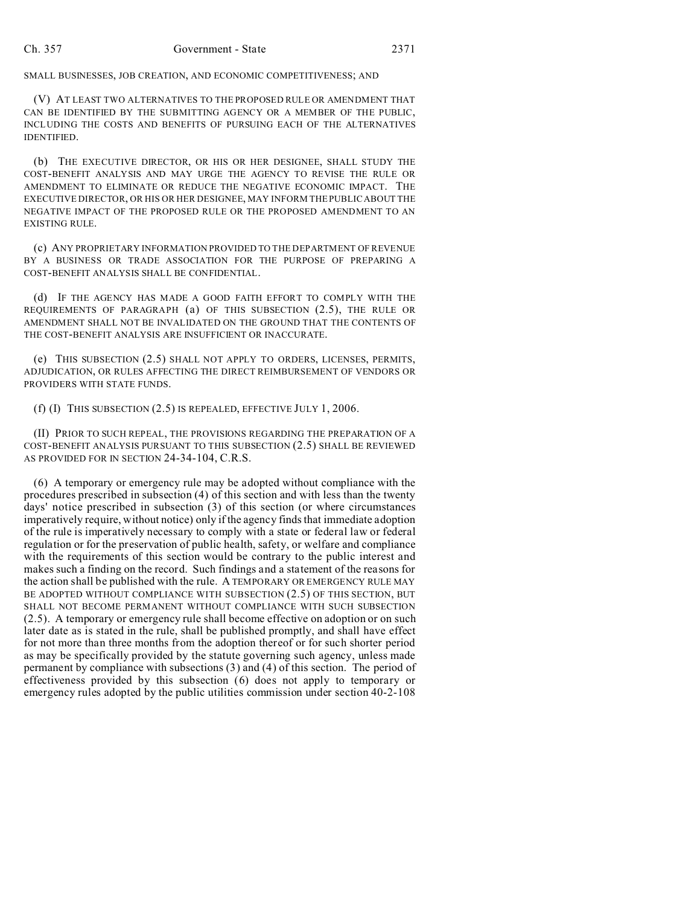## SMALL BUSINESSES, JOB CREATION, AND ECONOMIC COMPETITIVENESS; AND

(V) AT LEAST TWO ALTERNATIVES TO THE PROPOSED RULE OR AMENDMENT THAT CAN BE IDENTIFIED BY THE SUBMITTING AGENCY OR A MEMBER OF THE PUBLIC, INCLUDING THE COSTS AND BENEFITS OF PURSUING EACH OF THE ALTERNATIVES IDENTIFIED.

(b) THE EXECUTIVE DIRECTOR, OR HIS OR HER DESIGNEE, SHALL STUDY THE COST-BENEFIT ANALYSIS AND MAY URGE THE AGENCY TO REVISE THE RULE OR AMENDMENT TO ELIMINATE OR REDUCE THE NEGATIVE ECONOMIC IMPACT. THE EXECUTIVE DIRECTOR, OR HIS OR HER DESIGNEE, MAY INFORM THE PUBLIC ABOUT THE NEGATIVE IMPACT OF THE PROPOSED RULE OR THE PROPOSED AMENDMENT TO AN EXISTING RULE.

(c) ANY PROPRIETARY INFORMATION PROVIDED TO THE DEPARTMENT OF REVENUE BY A BUSINESS OR TRADE ASSOCIATION FOR THE PURPOSE OF PREPARING A COST-BENEFIT ANALYSIS SHALL BE CONFIDENTIAL.

(d) IF THE AGENCY HAS MADE A GOOD FAITH EFFORT TO COMPLY WITH THE REQUIREMENTS OF PARAGRAPH (a) OF THIS SUBSECTION (2.5), THE RULE OR AMENDMENT SHALL NOT BE INVALIDATED ON THE GROUND THAT THE CONTENTS OF THE COST-BENEFIT ANALYSIS ARE INSUFFICIENT OR INACCURATE.

(e) THIS SUBSECTION (2.5) SHALL NOT APPLY TO ORDERS, LICENSES, PERMITS, ADJUDICATION, OR RULES AFFECTING THE DIRECT REIMBURSEMENT OF VENDORS OR PROVIDERS WITH STATE FUNDS.

(f) (I) THIS SUBSECTION (2.5) IS REPEALED, EFFECTIVE JULY 1, 2006.

(II) PRIOR TO SUCH REPEAL, THE PROVISIONS REGARDING THE PREPARATION OF A COST-BENEFIT ANALYSIS PURSUANT TO THIS SUBSECTION (2.5) SHALL BE REVIEWED AS PROVIDED FOR IN SECTION 24-34-104, C.R.S.

(6) A temporary or emergency rule may be adopted without compliance with the procedures prescribed in subsection (4) of this section and with less than the twenty days' notice prescribed in subsection (3) of this section (or where circumstances imperatively require, without notice) only if the agency finds that immediate adoption of the rule is imperatively necessary to comply with a state or federal law or federal regulation or for the preservation of public health, safety, or welfare and compliance with the requirements of this section would be contrary to the public interest and makes such a finding on the record. Such findings and a statement of the reasons for the action shall be published with the rule. A TEMPORARY OR EMERGENCY RULE MAY BE ADOPTED WITHOUT COMPLIANCE WITH SUBSECTION (2.5) OF THIS SECTION, BUT SHALL NOT BECOME PERMANENT WITHOUT COMPLIANCE WITH SUCH SUBSECTION (2.5). A temporary or emergency rule shall become effective on adoption or on such later date as is stated in the rule, shall be published promptly, and shall have effect for not more than three months from the adoption thereof or for such shorter period as may be specifically provided by the statute governing such agency, unless made permanent by compliance with subsections (3) and (4) of this section. The period of effectiveness provided by this subsection (6) does not apply to temporary or emergency rules adopted by the public utilities commission under section 40-2-108